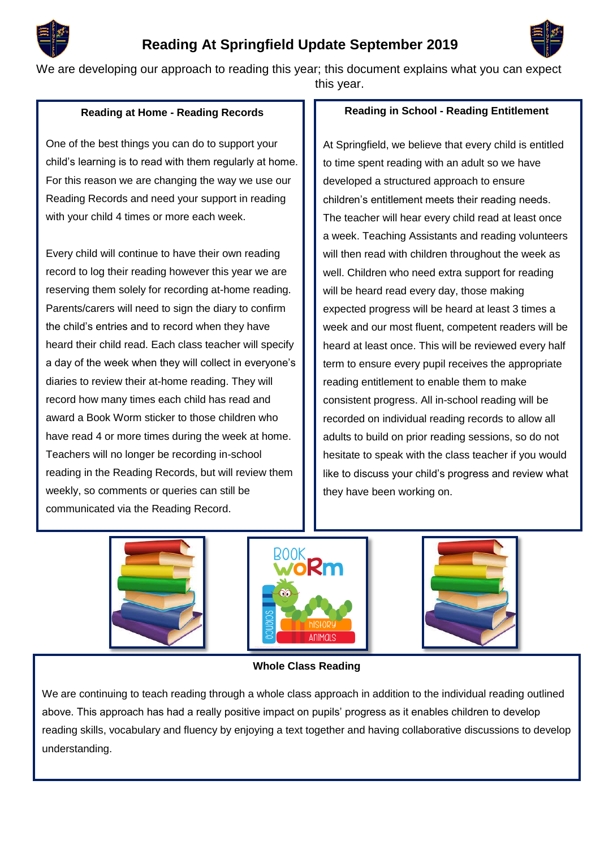# **Reading At Springfield Update September 2019**



We are developing our approach to reading this year; this document explains what you can expect

this year.

# **Reading at Home - Reading Records**

One of the best things you can do to support your child's learning is to read with them regularly at home. For this reason we are changing the way we use our Reading Records and need your support in reading with your child 4 times or more each week.

Every child will continue to have their own reading record to log their reading however this year we are reserving them solely for recording at-home reading. Parents/carers will need to sign the diary to confirm the child's entries and to record when they have heard their child read. Each class teacher will specify a day of the week when they will collect in everyone's diaries to review their at-home reading. They will record how many times each child has read and award a Book Worm sticker to those children who have read 4 or more times during the week at home. Teachers will no longer be recording in-school reading in the Reading Records, but will review them weekly, so comments or queries can still be communicated via the Reading Record.

## **Reading in School - Reading Entitlement**

At Springfield, we believe that every child is entitled to time spent reading with an adult so we have developed a structured approach to ensure children's entitlement meets their reading needs. The teacher will hear every child read at least once a week. Teaching Assistants and reading volunteers will then read with children throughout the week as well. Children who need extra support for reading will be heard read every day, those making expected progress will be heard at least 3 times a week and our most fluent, competent readers will be heard at least once. This will be reviewed every half term to ensure every pupil receives the appropriate reading entitlement to enable them to make consistent progress. All in-school reading will be recorded on individual reading records to allow all adults to build on prior reading sessions, so do not hesitate to speak with the class teacher if you would like to discuss your child's progress and review what they have been working on.







### **Whole Class Reading**

We are continuing to teach reading through a whole class approach in addition to the individual reading outlined above. This approach has had a really positive impact on pupils' progress as it enables children to develop reading skills, vocabulary and fluency by enjoying a text together and having collaborative discussions to develop understanding.